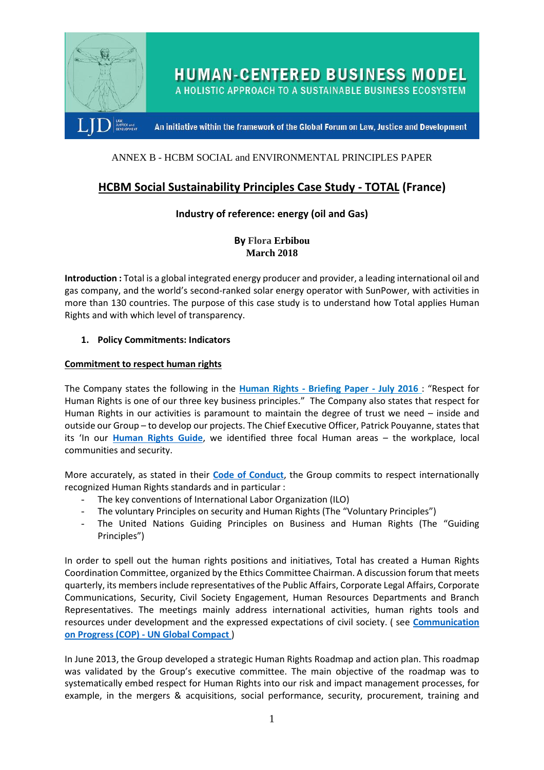

**HUMAN-CENTERED BUSINESS MODEL** 

A HOLISTIC APPROACH TO A SUSTAINABLE BUSINESS ECOSYSTEM

An initiative within the framework of the Global Forum on Law, Justice and Development

# ANNEX B - HCBM SOCIAL and ENVIRONMENTAL PRINCIPLES PAPER

# **HCBM Social Sustainability Principles Case Study - TOTAL (France)**

# **Industry of reference: energy (oil and Gas)**

**By Flora Erbibou March 2018**

**Introduction :** Total is a global integrated energy producer and provider, a leading international oil and gas company, and the world's second-ranked solar energy operator with SunPower, with activities in more than 130 countries. The purpose of this case study is to understand how Total applies Human Rights and with which level of transparency.

### **1. Policy Commitments: Indicators**

### **Commitment to respect human rights**

The Company states the following in the **Human Rights - [Briefing Paper -](https://www.total.com/sites/default/files/atoms/files/total_human_rigths_briefing_paper_july_2016_0.pdf) July 2016** : "Respect for Human Rights is one of our three key business principles." The Company also states that respect for Human Rights in our activities is paramount to maintain the degree of trust we need – inside and outside our Group – to develop our projects. The Chief Executive Officer, Patrick Pouyanne, states that its 'In our **[Human Rights Guide](https://www.total.com/sites/default/files/atoms/files/human_rights_internal_guide_va.pdf)**, we identified three focal Human areas – the workplace, local communities and security.

More accurately, as stated in their **[Code of Conduct](https://www.total.com/sites/default/files/atoms/files/total_code_of_conduct_va.pdf)**, the Group commits to respect internationally recognized Human Rights standards and in particular :

- The key conventions of International Labor Organization (ILO)
- The voluntary Principles on security and Human Rights (The "Voluntary Principles")
- The United Nations Guiding Principles on Business and Human Rights (The "Guiding Principles")

In order to spell out the human rights positions and initiatives, Total has created a Human Rights Coordination Committee, organized by the Ethics Committee Chairman. A discussion forum that meets quarterly, its members include representatives of the Public Affairs, Corporate Legal Affairs, Corporate Communications, Security, Civil Society Engagement, Human Resources Departments and Branch Representatives. The meetings mainly address international activities, human rights tools and resources under development and the expressed expectations of civil society. ( see **[Communication](https://www.unglobalcompact.org/system/attachments/cop_2017/406751/original/Total)  on Progress (COP) - [UN Global Compact](https://www.unglobalcompact.org/system/attachments/cop_2017/406751/original/Total)** )

In June 2013, the Group developed a strategic Human Rights Roadmap and action plan. This roadmap was validated by the Group's executive committee. The main objective of the roadmap was to systematically embed respect for Human Rights into our risk and impact management processes, for example, in the mergers & acquisitions, social performance, security, procurement, training and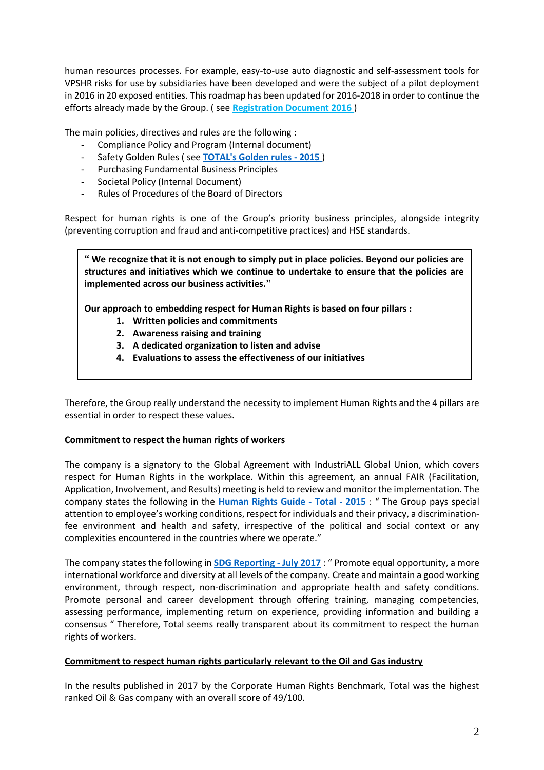human resources processes. For example, easy-to-use auto diagnostic and self-assessment tools for VPSHR risks for use by subsidiaries have been developed and were the subject of a pilot deployment in 2016 in 20 exposed entities. This roadmap has been updated for 2016-2018 in order to continue the efforts already made by the Group. ( see **[Registration Document 2016](https://www.total.com/sites/default/files/atoms/files/ddr2016_va_web.pdf)** )

The main policies, directives and rules are the following :

- Compliance Policy and Program (Internal document)
- Safety Golden Rules ( see **[TOTAL's Golden rules -](https://www.total.com/sites/default/files/atoms/files/reglesor_livret_2017_en_hd_03-03.pdf) 2015** )
- Purchasing Fundamental Business Principles
- Societal Policy (Internal Document)
- Rules of Procedures of the Board of Directors

Respect for human rights is one of the Group's priority business principles, alongside integrity (preventing corruption and fraud and anti-competitive practices) and HSE standards.

**" We recognize that it is not enough to simply put in place policies. Beyond our policies are structures and initiatives which we continue to undertake to ensure that the policies are implemented across our business activities."**

**Our approach to embedding respect for Human Rights is based on four pillars :**

- **1. Written policies and commitments**
- **2. Awareness raising and training**
- **3. A dedicated organization to listen and advise**
- **4. Evaluations to assess the effectiveness of our initiatives**

Therefore, the Group really understand the necessity to implement Human Rights and the 4 pillars are essential in order to respect these values.

#### **Commitment to respect the human rights of workers**

The company is a signatory to the Global Agreement with IndustriALL Global Union, which covers respect for Human Rights in the workplace. Within this agreement, an annual FAIR (Facilitation, Application, Involvement, and Results) meeting is held to review and monitor the implementation. The company states the following in the **[Human Rights Guide -](https://www.total.com/sites/default/files/atoms/files/human_rights_internal_guide_va.pdf) Total - 2015** : " The Group pays special attention to employee's working conditions, respect for individuals and their privacy, a discriminationfee environment and health and safety, irrespective of the political and social context or any complexities encountered in the countries where we operate."

The company states the following in **[SDG Reporting -](http://www.sustainable-performance.total.com/sites/analystecsr/files/atoms/files/total_-_2016-2017_sdg_reporting_-_july_2017.pdf) July 2017** : " Promote equal opportunity, a more international workforce and diversity at all levels of the company. Create and maintain a good working environment, through respect, non-discrimination and appropriate health and safety conditions. Promote personal and career development through offering training, managing competencies, assessing performance, implementing return on experience, providing information and building a consensus " Therefore, Total seems really transparent about its commitment to respect the human rights of workers.

#### **Commitment to respect human rights particularly relevant to the Oil and Gas industry**

In the results published in 2017 by the Corporate Human Rights Benchmark, Total was the highest ranked Oil & Gas company with an overall score of 49/100.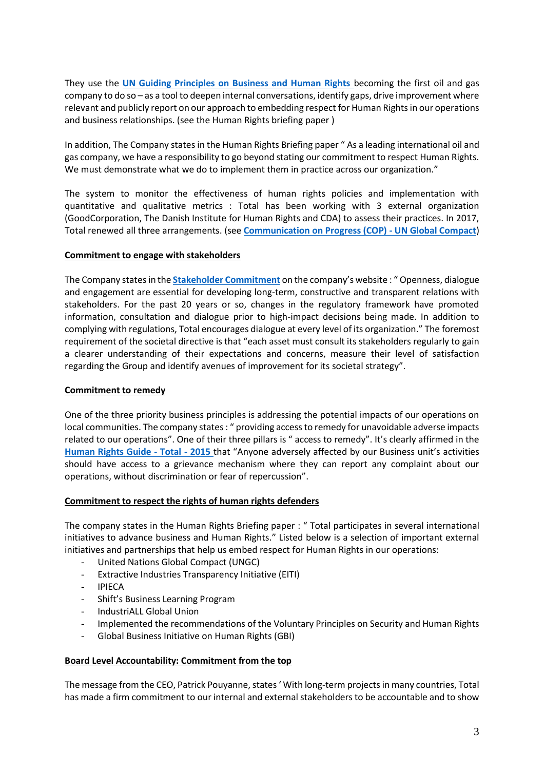They use the **[UN Guiding Principles on Business and Human Rights](https://www.ungpreporting.org/wp-content/uploads/UNGPReportingFramework_2017.pdf)** becoming the first oil and gas company to do so – as a tool to deepen internal conversations, identify gaps, drive improvement where relevant and publicly report on our approach to embedding respect for Human Rights in our operations and business relationships. (see the Human Rights briefing paper )

In addition, The Company states in the Human Rights Briefing paper " As a leading international oil and gas company, we have a responsibility to go beyond stating our commitment to respect Human Rights. We must demonstrate what we do to implement them in practice across our organization."

The system to monitor the effectiveness of human rights policies and implementation with quantitative and qualitative metrics : Total has been working with 3 external organization (GoodCorporation, The Danish Institute for Human Rights and CDA) to assess their practices. In 2017, Total renewed all three arrangements. (see **[Communication on Progress \(COP\) -](https://www.unglobalcompact.org/system/attachments/cop_2017/406751/original/Total) UN Global Compact**)

### **Commitment to engage with stakeholders**

The Company states in the **[Stakeholder Commitment](http://www.sustainable-performance.total.com/en/stakeholders/our-commitment)** on the company's website : " Openness, dialogue and engagement are essential for developing long-term, constructive and transparent relations with stakeholders. For the past 20 years or so, changes in the regulatory framework have promoted information, consultation and dialogue prior to high-impact decisions being made. In addition to complying with regulations, Total encourages dialogue at every level of its organization." The foremost requirement of the societal directive is that "each asset must consult its stakeholders regularly to gain a clearer understanding of their expectations and concerns, measure their level of satisfaction regarding the Group and identify avenues of improvement for its societal strategy".

### **Commitment to remedy**

One of the three priority business principles is addressing the potential impacts of our operations on local communities. The company states : " providing access to remedy for unavoidable adverse impacts related to our operations". One of their three pillars is " access to remedy". It's clearly affirmed in the **[Human Rights Guide -](https://www.total.com/sites/default/files/atoms/files/human_rights_internal_guide_va.pdf) Total - 2015** that "Anyone adversely affected by our Business unit's activities should have access to a grievance mechanism where they can report any complaint about our operations, without discrimination or fear of repercussion".

#### **Commitment to respect the rights of human rights defenders**

The company states in the Human Rights Briefing paper : " Total participates in several international initiatives to advance business and Human Rights." Listed below is a selection of important external initiatives and partnerships that help us embed respect for Human Rights in our operations:

- United Nations Global Compact (UNGC)
- Extractive Industries Transparency Initiative (EITI)
- IPIECA
- Shift's Business Learning Program
- IndustriALL Global Union
- Implemented the recommendations of the Voluntary Principles on Security and Human Rights
- Global Business Initiative on Human Rights (GBI)

# **Board Level Accountability: Commitment from the top**

The message from the CEO, Patrick Pouyanne, states ' With long-term projects in many countries, Total has made a firm commitment to our internal and external stakeholders to be accountable and to show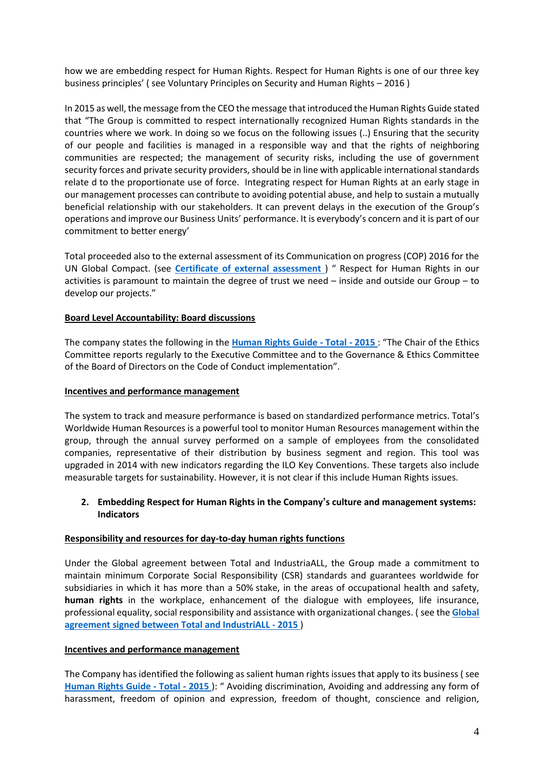how we are embedding respect for Human Rights. Respect for Human Rights is one of our three key business principles' ( see Voluntary Principles on Security and Human Rights – 2016 )

In 2015 as well, the message from the CEO the message that introduced the Human Rights Guide stated that "The Group is committed to respect internationally recognized Human Rights standards in the countries where we work. In doing so we focus on the following issues (..) Ensuring that the security of our people and facilities is managed in a responsible way and that the rights of neighboring communities are respected; the management of security risks, including the use of government security forces and private security providers, should be in line with applicable international standards relate d to the proportionate use of force. Integrating respect for Human Rights at an early stage in our management processes can contribute to avoiding potential abuse, and help to sustain a mutually beneficial relationship with our stakeholders. It can prevent delays in the execution of the Group's operations and improve our Business Units' performance. It is everybody's concern and it is part of our commitment to better energy'

Total proceeded also to the external assessment of its Communication on progress (COP) 2016 for the UN Global Compact. (see **[Certificate of external assessment](https://www.unglobalcompact.org/system/attachments/cop_2017/406761/original/Global_Compact_France_-_Peer_review_certificate_-_Total)** ) " Respect for Human Rights in our activities is paramount to maintain the degree of trust we need – inside and outside our Group – to develop our projects."

### **Board Level Accountability: Board discussions**

The company states the following in the **[Human Rights Guide -](https://www.total.com/sites/default/files/atoms/files/human_rights_internal_guide_va.pdf) Total - 2015** : "The Chair of the Ethics Committee reports regularly to the Executive Committee and to the Governance & Ethics Committee of the Board of Directors on the Code of Conduct implementation".

#### **Incentives and performance management**

The system to track and measure performance is based on standardized performance metrics. Total's Worldwide Human Resources is a powerful tool to monitor Human Resources management within the group, through the annual survey performed on a sample of employees from the consolidated companies, representative of their distribution by business segment and region. This tool was upgraded in 2014 with new indicators regarding the ILO Key Conventions. These targets also include measurable targets for sustainability. However, it is not clear if this include Human Rights issues.

### **2. Embedding Respect for Human Rights in the Company's culture and management systems: Indicators**

#### **Responsibility and resources for day-to-day human rights functions**

Under the Global agreement between Total and IndustriaALL, the Group made a commitment to maintain minimum Corporate Social Responsibility (CSR) standards and guarantees worldwide for subsidiaries in which it has more than a 50% stake, in the areas of occupational health and safety, **human rights** in the workplace, enhancement of the dialogue with employees, life insurance, professional equality, social responsibility and assistance with organizational changes. ( see the **[Global](http://www.sustainable-performance.total.com/en/node/134#dialogue)  [agreement signed between Total and IndustriALL -](http://www.sustainable-performance.total.com/en/node/134#dialogue) 2015** )

#### **Incentives and performance management**

The Company has identified the following as salient human rights issues that apply to its business ( see **[Human Rights Guide -](https://www.total.com/sites/default/files/atoms/files/human_rights_internal_guide_va.pdf) Total - 2015** ): " Avoiding discrimination, Avoiding and addressing any form of harassment, freedom of opinion and expression, freedom of thought, conscience and religion,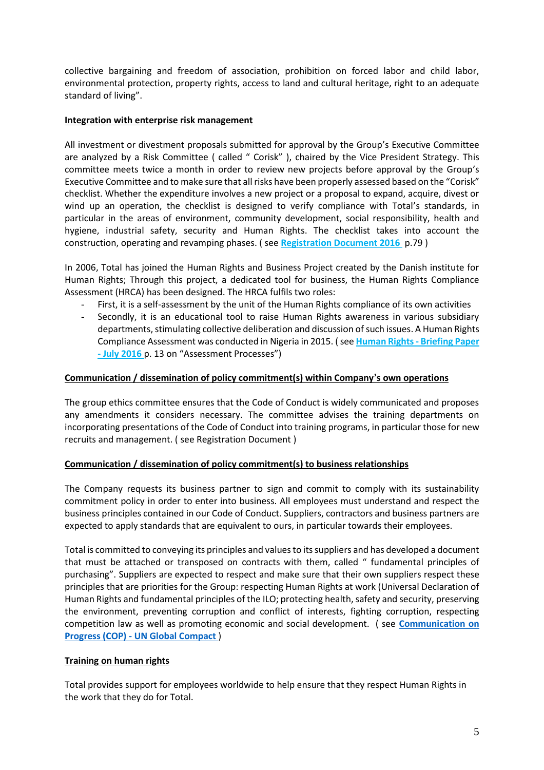collective bargaining and freedom of association, prohibition on forced labor and child labor, environmental protection, property rights, access to land and cultural heritage, right to an adequate standard of living".

## **Integration with enterprise risk management**

All investment or divestment proposals submitted for approval by the Group's Executive Committee are analyzed by a Risk Committee ( called " Corisk" ), chaired by the Vice President Strategy. This committee meets twice a month in order to review new projects before approval by the Group's Executive Committee and to make sure that all risks have been properly assessed based on the "Corisk" checklist. Whether the expenditure involves a new project or a proposal to expand, acquire, divest or wind up an operation, the checklist is designed to verify compliance with Total's standards, in particular in the areas of environment, community development, social responsibility, health and hygiene, industrial safety, security and Human Rights. The checklist takes into account the construction, operating and revamping phases. ( see **[Registration Document 2016](https://www.total.com/sites/default/files/atoms/files/ddr2016_va_web.pdf)** p.79 )

In 2006, Total has joined the Human Rights and Business Project created by the Danish institute for Human Rights; Through this project, a dedicated tool for business, the Human Rights Compliance Assessment (HRCA) has been designed. The HRCA fulfils two roles:

- First, it is a self-assessment by the unit of the Human Rights compliance of its own activities
- Secondly, it is an educational tool to raise Human Rights awareness in various subsidiary departments, stimulating collective deliberation and discussion of such issues. A Human Rights Compliance Assessment was conducted in Nigeria in 2015. ( see **[Human Rights -](https://www.total.com/sites/default/files/atoms/files/total_human_rigths_briefing_paper_july_2016_0.pdf) Briefing Paper - [July 2016](https://www.total.com/sites/default/files/atoms/files/total_human_rigths_briefing_paper_july_2016_0.pdf)** p. 13 on "Assessment Processes")

### **Communication / dissemination of policy commitment(s) within Company's own operations**

The group ethics committee ensures that the Code of Conduct is widely communicated and proposes any amendments it considers necessary. The committee advises the training departments on incorporating presentations of the Code of Conduct into training programs, in particular those for new recruits and management. ( see Registration Document )

# **Communication / dissemination of policy commitment(s) to business relationships**

The Company requests its business partner to sign and commit to comply with its sustainability commitment policy in order to enter into business. All employees must understand and respect the business principles contained in our Code of Conduct. Suppliers, contractors and business partners are expected to apply standards that are equivalent to ours, in particular towards their employees.

Total is committed to conveying its principles and values to its suppliers and has developed a document that must be attached or transposed on contracts with them, called " fundamental principles of purchasing". Suppliers are expected to respect and make sure that their own suppliers respect these principles that are priorities for the Group: respecting Human Rights at work (Universal Declaration of Human Rights and fundamental principles of the ILO; protecting health, safety and security, preserving the environment, preventing corruption and conflict of interests, fighting corruption, respecting competition law as well as promoting economic and social development. ( see **[Communication on](https://www.unglobalcompact.org/system/attachments/cop_2017/406751/original/Total)  Progress (COP) - [UN Global Compact](https://www.unglobalcompact.org/system/attachments/cop_2017/406751/original/Total)** )

# **Training on human rights**

Total provides support for employees worldwide to help ensure that they respect Human Rights in the work that they do for Total.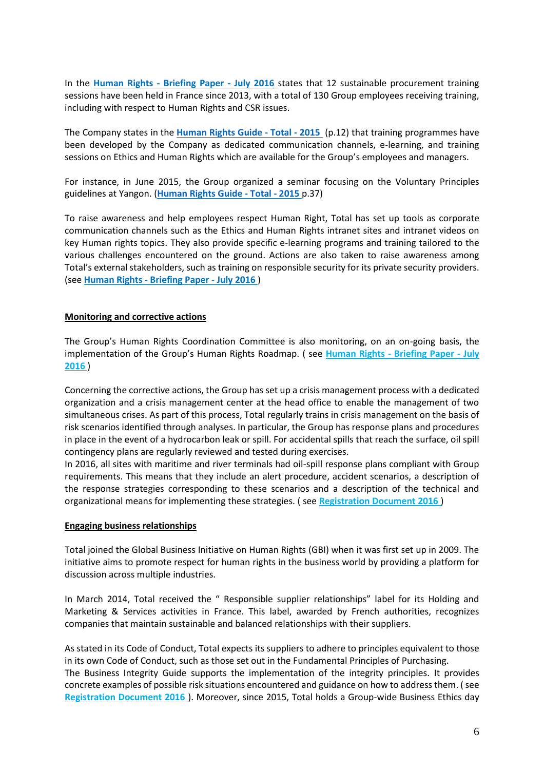In the **Human Rights - [Briefing Paper -](https://www.total.com/sites/default/files/atoms/files/total_human_rigths_briefing_paper_july_2016_0.pdf) July 2016** states that 12 sustainable procurement training sessions have been held in France since 2013, with a total of 130 Group employees receiving training, including with respect to Human Rights and CSR issues.

The Company states in the **[Human Rights Guide -](https://www.total.com/sites/default/files/atoms/files/human_rights_internal_guide_va.pdf) Total - 2015** (p.12) that training programmes have been developed by the Company as dedicated communication channels, e-learning, and training sessions on Ethics and Human Rights which are available for the Group's employees and managers.

For instance, in June 2015, the Group organized a seminar focusing on the Voluntary Principles guidelines at Yangon. (**[Human Rights Guide -](https://www.total.com/sites/default/files/atoms/files/human_rights_internal_guide_va.pdf) Total - 2015** p.37)

To raise awareness and help employees respect Human Right, Total has set up tools as corporate communication channels such as the Ethics and Human Rights intranet sites and intranet videos on key Human rights topics. They also provide specific e-learning programs and training tailored to the various challenges encountered on the ground. Actions are also taken to raise awareness among Total's external stakeholders, such as training on responsible security for its private security providers. (see **Human Rights - [Briefing Paper -](https://www.total.com/sites/default/files/atoms/files/total_human_rigths_briefing_paper_july_2016_0.pdf) July 2016** )

#### **Monitoring and corrective actions**

The Group's Human Rights Coordination Committee is also monitoring, on an on-going basis, the implementation of the Group's Human Rights Roadmap. ( see **Human Rights - [Briefing Paper -](https://www.total.com/sites/default/files/atoms/files/total_human_rigths_briefing_paper_july_2016_0.pdf) July [2016](https://www.total.com/sites/default/files/atoms/files/total_human_rigths_briefing_paper_july_2016_0.pdf)** )

Concerning the corrective actions, the Group has set up a crisis management process with a dedicated organization and a crisis management center at the head office to enable the management of two simultaneous crises. As part of this process, Total regularly trains in crisis management on the basis of risk scenarios identified through analyses. In particular, the Group has response plans and procedures in place in the event of a hydrocarbon leak or spill. For accidental spills that reach the surface, oil spill contingency plans are regularly reviewed and tested during exercises.

In 2016, all sites with maritime and river terminals had oil-spill response plans compliant with Group requirements. This means that they include an alert procedure, accident scenarios, a description of the response strategies corresponding to these scenarios and a description of the technical and organizational means for implementing these strategies. ( see **[Registration Document 2016](https://www.total.com/sites/default/files/atoms/files/ddr2016_va_web.pdf)** )

#### **Engaging business relationships**

Total joined the Global Business Initiative on Human Rights (GBI) when it was first set up in 2009. The initiative aims to promote respect for human rights in the business world by providing a platform for discussion across multiple industries.

In March 2014, Total received the " Responsible supplier relationships" label for its Holding and Marketing & Services activities in France. This label, awarded by French authorities, recognizes companies that maintain sustainable and balanced relationships with their suppliers.

As stated in its Code of Conduct, Total expects its suppliers to adhere to principles equivalent to those in its own Code of Conduct, such as those set out in the Fundamental Principles of Purchasing. The Business Integrity Guide supports the implementation of the integrity principles. It provides concrete examples of possible risk situations encountered and guidance on how to address them. ( see **[Registration Document 2016](https://www.total.com/sites/default/files/atoms/files/ddr2016_va_web.pdf)** ). Moreover, since 2015, Total holds a Group-wide Business Ethics day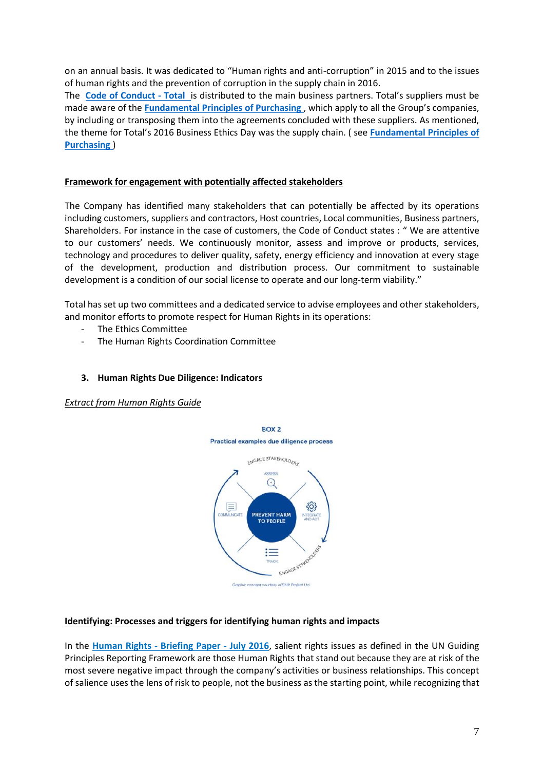on an annual basis. It was dedicated to "Human rights and anti-corruption" in 2015 and to the issues of human rights and the prevention of corruption in the supply chain in 2016.

The **[Code of Conduct -](https://www.total.com/sites/default/files/atoms/files/total_code_of_conduct_va.pdf) Total** is distributed to the main business partners. Total's suppliers must be made aware of the **[Fundamental Principles of Purchasing](http://www.sustainable-performance.total.com/sites/analystecsr/files/atoms/files/principes-fondamentaux-achats-va_0.pdf)** , which apply to all the Group's companies, by including or transposing them into the agreements concluded with these suppliers. As mentioned, the theme for Total's 2016 Business Ethics Day was the supply chain. ( see **[Fundamental Principles of](http://www.sustainable-performance.total.com/sites/analystecsr/files/atoms/files/principes-fondamentaux-achats-va_0.pdf)  [Purchasing](http://www.sustainable-performance.total.com/sites/analystecsr/files/atoms/files/principes-fondamentaux-achats-va_0.pdf)** )

### **Framework for engagement with potentially affected stakeholders**

The Company has identified many stakeholders that can potentially be affected by its operations including customers, suppliers and contractors, Host countries, Local communities, Business partners, Shareholders. For instance in the case of customers, the Code of Conduct states : " We are attentive to our customers' needs. We continuously monitor, assess and improve or products, services, technology and procedures to deliver quality, safety, energy efficiency and innovation at every stage of the development, production and distribution process. Our commitment to sustainable development is a condition of our social license to operate and our long-term viability."

Total has set up two committees and a dedicated service to advise employees and other stakeholders, and monitor efforts to promote respect for Human Rights in its operations:

- The Ethics Committee
- The Human Rights Coordination Committee

#### **3. Human Rights Due Diligence: Indicators**

*Extract from Human Rights Guide*



#### **Identifying: Processes and triggers for identifying human rights and impacts**

In the **Human Rights - [Briefing Paper -](https://www.total.com/sites/default/files/atoms/files/total_human_rigths_briefing_paper_july_2016_0.pdf) July 2016**, salient rights issues as defined in the UN Guiding Principles Reporting Framework are those Human Rights that stand out because they are at risk of the most severe negative impact through the company's activities or business relationships. This concept of salience uses the lens of risk to people, not the business as the starting point, while recognizing that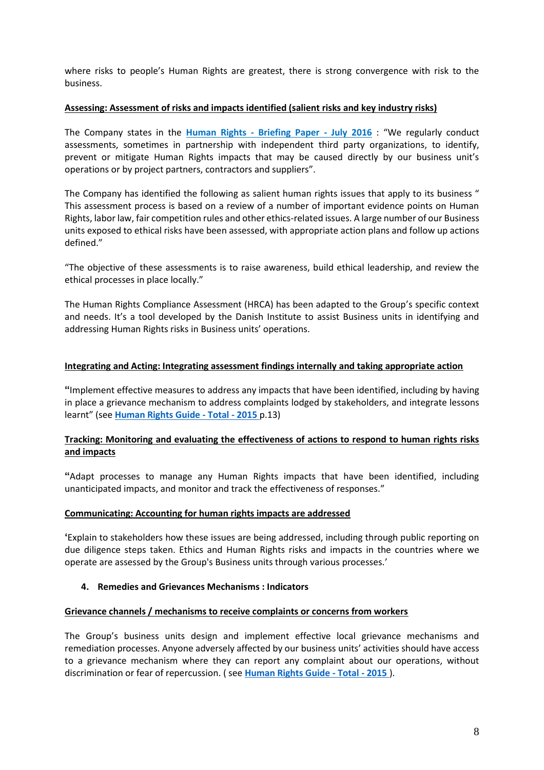where risks to people's Human Rights are greatest, there is strong convergence with risk to the business.

### **Assessing: Assessment of risks and impacts identified (salient risks and key industry risks)**

The Company states in the **Human Rights - [Briefing Paper -](https://www.total.com/sites/default/files/atoms/files/total_human_rigths_briefing_paper_july_2016_0.pdf) July 2016** : "We regularly conduct assessments, sometimes in partnership with independent third party organizations, to identify, prevent or mitigate Human Rights impacts that may be caused directly by our business unit's operations or by project partners, contractors and suppliers".

The Company has identified the following as salient human rights issues that apply to its business " This assessment process is based on a review of a number of important evidence points on Human Rights, labor law, fair competition rules and other ethics-related issues. A large number of our Business units exposed to ethical risks have been assessed, with appropriate action plans and follow up actions defined."

"The objective of these assessments is to raise awareness, build ethical leadership, and review the ethical processes in place locally."

The Human Rights Compliance Assessment (HRCA) has been adapted to the Group's specific context and needs. It's a tool developed by the Danish Institute to assist Business units in identifying and addressing Human Rights risks in Business units' operations.

### **Integrating and Acting: Integrating assessment findings internally and taking appropriate action**

**"**Implement effective measures to address any impacts that have been identified, including by having in place a grievance mechanism to address complaints lodged by stakeholders, and integrate lessons learnt" (see **[Human Rights Guide -](https://www.total.com/sites/default/files/atoms/files/human_rights_internal_guide_va.pdf) Total - 2015** p.13)

# **Tracking: Monitoring and evaluating the effectiveness of actions to respond to human rights risks and impacts**

**"**Adapt processes to manage any Human Rights impacts that have been identified, including unanticipated impacts, and monitor and track the effectiveness of responses."

#### **Communicating: Accounting for human rights impacts are addressed**

**'**Explain to stakeholders how these issues are being addressed, including through public reporting on due diligence steps taken. Ethics and Human Rights risks and impacts in the countries where we operate are assessed by the Group's Business units through various processes.'

#### **4. Remedies and Grievances Mechanisms : Indicators**

#### **Grievance channels / mechanisms to receive complaints or concerns from workers**

The Group's business units design and implement effective local grievance mechanisms and remediation processes. Anyone adversely affected by our business units' activities should have access to a grievance mechanism where they can report any complaint about our operations, without discrimination or fear of repercussion. ( see **[Human Rights Guide -](https://www.total.com/sites/default/files/atoms/files/human_rights_internal_guide_va.pdf) Total - 2015** ).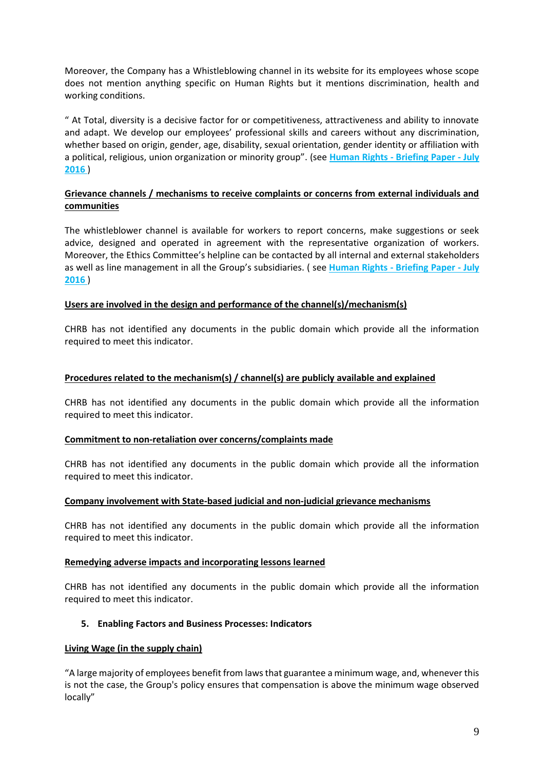Moreover, the Company has a Whistleblowing channel in its website for its employees whose scope does not mention anything specific on Human Rights but it mentions discrimination, health and working conditions.

" At Total, diversity is a decisive factor for or competitiveness, attractiveness and ability to innovate and adapt. We develop our employees' professional skills and careers without any discrimination, whether based on origin, gender, age, disability, sexual orientation, gender identity or affiliation with a political, religious, union organization or minority group". (see **Human Rights - [Briefing Paper -](https://www.total.com/sites/default/files/atoms/files/total_human_rigths_briefing_paper_july_2016_0.pdf) July [2016](https://www.total.com/sites/default/files/atoms/files/total_human_rigths_briefing_paper_july_2016_0.pdf)** )

# **Grievance channels / mechanisms to receive complaints or concerns from external individuals and communities**

The whistleblower channel is available for workers to report concerns, make suggestions or seek advice, designed and operated in agreement with the representative organization of workers. Moreover, the Ethics Committee's helpline can be contacted by all internal and external stakeholders as well as line management in all the Group's subsidiaries. ( see **Human Rights - [Briefing Paper -](https://www.total.com/sites/default/files/atoms/files/total_human_rigths_briefing_paper_july_2016_0.pdf) July [2016](https://www.total.com/sites/default/files/atoms/files/total_human_rigths_briefing_paper_july_2016_0.pdf)** )

### **Users are involved in the design and performance of the channel(s)/mechanism(s)**

CHRB has not identified any documents in the public domain which provide all the information required to meet this indicator.

#### **Procedures related to the mechanism(s) / channel(s) are publicly available and explained**

CHRB has not identified any documents in the public domain which provide all the information required to meet this indicator.

#### **Commitment to non-retaliation over concerns/complaints made**

CHRB has not identified any documents in the public domain which provide all the information required to meet this indicator.

#### **Company involvement with State-based judicial and non-judicial grievance mechanisms**

CHRB has not identified any documents in the public domain which provide all the information required to meet this indicator.

#### **Remedying adverse impacts and incorporating lessons learned**

CHRB has not identified any documents in the public domain which provide all the information required to meet this indicator.

#### **5. Enabling Factors and Business Processes: Indicators**

#### **Living Wage (in the supply chain)**

"A large majority of employees benefit from laws that guarantee a minimum wage, and, whenever this is not the case, the Group's policy ensures that compensation is above the minimum wage observed locally"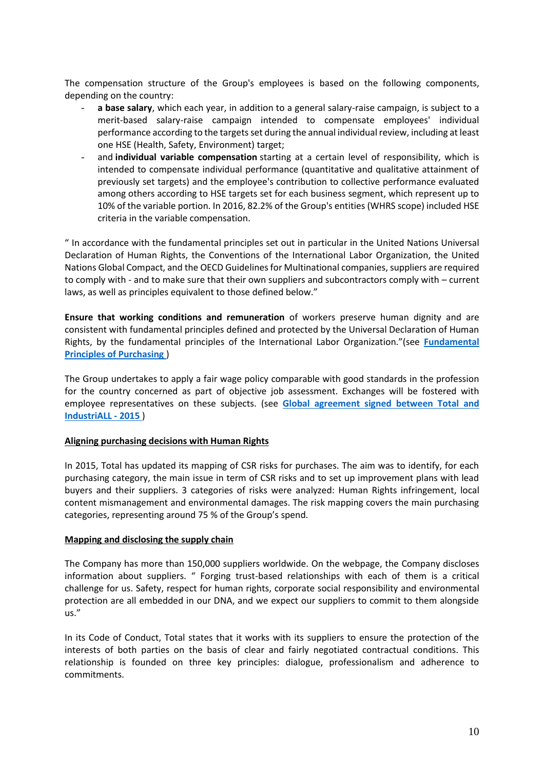The compensation structure of the Group's employees is based on the following components, depending on the country:

- a base salary, which each year, in addition to a general salary-raise campaign, is subject to a merit-based salary-raise campaign intended to compensate employees' individual performance according to the targets set during the annual individual review, including at least one HSE (Health, Safety, Environment) target;
- and **individual variable compensation** starting at a certain level of responsibility, which is intended to compensate individual performance (quantitative and qualitative attainment of previously set targets) and the employee's contribution to collective performance evaluated among others according to HSE targets set for each business segment, which represent up to 10% of the variable portion. In 2016, 82.2% of the Group's entities (WHRS scope) included HSE criteria in the variable compensation.

" In accordance with the fundamental principles set out in particular in the United Nations Universal Declaration of Human Rights, the Conventions of the International Labor Organization, the United Nations Global Compact, and the OECD Guidelines for Multinational companies, suppliers are required to comply with - and to make sure that their own suppliers and subcontractors comply with – current laws, as well as principles equivalent to those defined below."

**Ensure that working conditions and remuneration** of workers preserve human dignity and are consistent with fundamental principles defined and protected by the Universal Declaration of Human Rights, by the fundamental principles of the International Labor Organization."(see **[Fundamental](http://www.sustainable-performance.total.com/sites/analystecsr/files/atoms/files/principes-fondamentaux-achats-va_0.pdf)  [Principles of Purchasing](http://www.sustainable-performance.total.com/sites/analystecsr/files/atoms/files/principes-fondamentaux-achats-va_0.pdf)** )

The Group undertakes to apply a fair wage policy comparable with good standards in the profession for the country concerned as part of objective job assessment. Exchanges will be fostered with employee representatives on these subjects. (see **[Global agreement signed between Total and](http://www.sustainable-performance.total.com/en/node/134#dialogue)  [IndustriALL -](http://www.sustainable-performance.total.com/en/node/134#dialogue) 2015** )

#### **Aligning purchasing decisions with Human Rights**

In 2015, Total has updated its mapping of CSR risks for purchases. The aim was to identify, for each purchasing category, the main issue in term of CSR risks and to set up improvement plans with lead buyers and their suppliers. 3 categories of risks were analyzed: Human Rights infringement, local content mismanagement and environmental damages. The risk mapping covers the main purchasing categories, representing around 75 % of the Group's spend.

#### **Mapping and disclosing the supply chain**

The Company has more than 150,000 suppliers worldwide. On the webpage, the Company discloses information about suppliers. " Forging trust-based relationships with each of them is a critical challenge for us. Safety, respect for human rights, corporate social responsibility and environmental protection are all embedded in our DNA, and we expect our suppliers to commit to them alongside us."

In its Code of Conduct, Total states that it works with its suppliers to ensure the protection of the interests of both parties on the basis of clear and fairly negotiated contractual conditions. This relationship is founded on three key principles: dialogue, professionalism and adherence to commitments.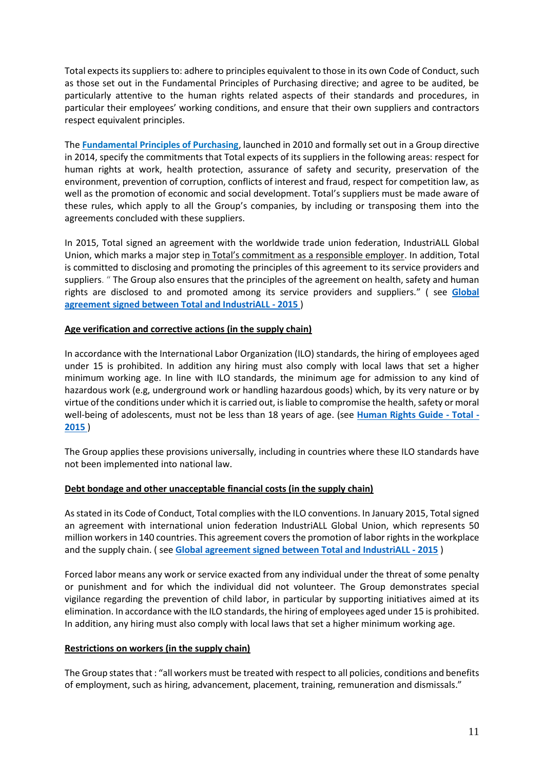Total expects its suppliers to: adhere to principles equivalent to those in its own Code of Conduct, such as those set out in the Fundamental Principles of Purchasing directive; and agree to be audited, be particularly attentive to the human rights related aspects of their standards and procedures, in particular their employees' working conditions, and ensure that their own suppliers and contractors respect equivalent principles.

The **[Fundamental Principles of Purchasing](http://www.sustainable-performance.total.com/sites/analystecsr/files/atoms/files/principes-fondamentaux-achats-va_0.pdf)**, launched in 2010 and formally set out in a Group directive in 2014, specify the commitments that Total expects of its suppliers in the following areas: respect for human rights at work, health protection, assurance of safety and security, preservation of the environment, prevention of corruption, conflicts of interest and fraud, respect for competition law, as well as the promotion of economic and social development. Total's suppliers must be made aware of these rules, which apply to all the Group's companies, by including or transposing them into the agreements concluded with these suppliers.

In 2015, Total signed an agreement with the worldwide trade union federation, IndustriALL Global Union, which marks a major step in Total['s commitment as a responsible employer](http://www.sustainable-performance.total.com/en/challenges/people-talents#dialogue). In addition, Total is committed to disclosing and promoting the principles of this agreement to its service providers and suppliers. " The Group also ensures that the principles of the agreement on health, safety and human rights are disclosed to and promoted among its service providers and suppliers." ( see **[Global](http://www.sustainable-performance.total.com/en/node/134#dialogue)  [agreement signed between Total and IndustriALL -](http://www.sustainable-performance.total.com/en/node/134#dialogue) 2015** )

### **Age verification and corrective actions (in the supply chain)**

In accordance with the International Labor Organization (ILO) standards, the hiring of employees aged under 15 is prohibited. In addition any hiring must also comply with local laws that set a higher minimum working age. In line with ILO standards, the minimum age for admission to any kind of hazardous work (e.g, underground work or handling hazardous goods) which, by its very nature or by virtue of the conditions under which it is carried out, is liable to compromise the health, safety or moral well-being of adolescents, must not be less than 18 years of age. (see **[Human Rights Guide -](https://www.total.com/sites/default/files/atoms/files/human_rights_internal_guide_va.pdf) Total - [2015](https://www.total.com/sites/default/files/atoms/files/human_rights_internal_guide_va.pdf)** )

The Group applies these provisions universally, including in countries where these ILO standards have not been implemented into national law.

#### **Debt bondage and other unacceptable financial costs (in the supply chain)**

As stated in its Code of Conduct, Total complies with the ILO conventions. In January 2015, Total signed an agreement with international union federation IndustriALL Global Union, which represents 50 million workers in 140 countries. This agreement covers the promotion of labor rights in the workplace and the supply chain. ( see **[Global agreement signed between Total and IndustriALL -](http://www.industriall-union.org/sites/default/files/uploads/documents/GFAs/Total/accord_monde_csr_total_-_industriall_global_union_-_22_janvier_2015_-_finale_-_english.pdf) 2015** )

Forced labor means any work or service exacted from any individual under the threat of some penalty or punishment and for which the individual did not volunteer. The Group demonstrates special vigilance regarding the prevention of child labor, in particular by supporting initiatives aimed at its elimination. In accordance with the ILO standards, the hiring of employees aged under 15 is prohibited. In addition, any hiring must also comply with local laws that set a higher minimum working age.

#### **Restrictions on workers (in the supply chain)**

The Group states that : "all workers must be treated with respect to all policies, conditions and benefits of employment, such as hiring, advancement, placement, training, remuneration and dismissals."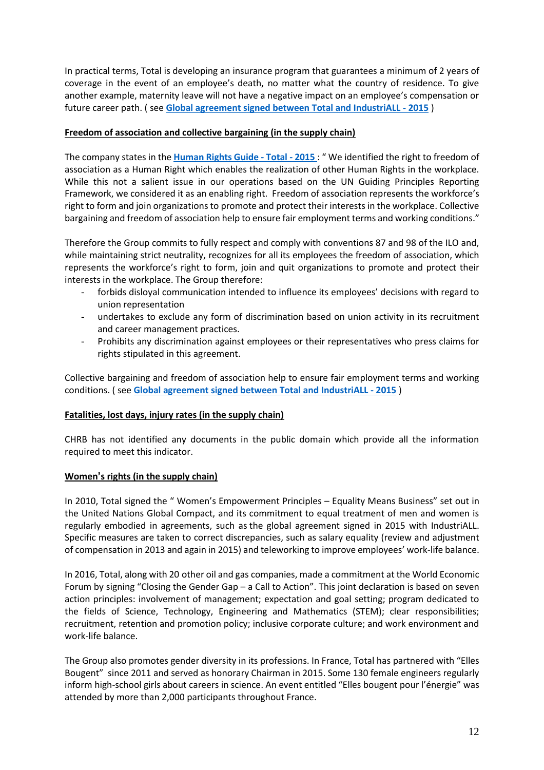In practical terms, Total is developing an insurance program that guarantees a minimum of 2 years of coverage in the event of an employee's death, no matter what the country of residence. To give another example, maternity leave will not have a negative impact on an employee's compensation or future career path. ( see **[Global agreement signed between Total and IndustriALL -](http://www.industriall-union.org/sites/default/files/uploads/documents/GFAs/Total/accord_monde_csr_total_-_industriall_global_union_-_22_janvier_2015_-_finale_-_english.pdf) 2015** )

# **Freedom of association and collective bargaining (in the supply chain)**

The company states in the **[Human Rights Guide -](https://www.total.com/sites/default/files/atoms/files/human_rights_internal_guide_va.pdf) Total - 2015** : " We identified the right to freedom of association as a Human Right which enables the realization of other Human Rights in the workplace. While this not a salient issue in our operations based on the UN Guiding Principles Reporting Framework, we considered it as an enabling right. Freedom of association represents the workforce's right to form and join organizations to promote and protect their interests in the workplace. Collective bargaining and freedom of association help to ensure fair employment terms and working conditions."

Therefore the Group commits to fully respect and comply with conventions 87 and 98 of the ILO and, while maintaining strict neutrality, recognizes for all its employees the freedom of association, which represents the workforce's right to form, join and quit organizations to promote and protect their interests in the workplace. The Group therefore:

- forbids disloyal communication intended to influence its employees' decisions with regard to union representation
- undertakes to exclude any form of discrimination based on union activity in its recruitment and career management practices.
- Prohibits any discrimination against employees or their representatives who press claims for rights stipulated in this agreement.

Collective bargaining and freedom of association help to ensure fair employment terms and working conditions. ( see **[Global agreement signed between Total and IndustriALL -](http://www.industriall-union.org/sites/default/files/uploads/documents/GFAs/Total/accord_monde_csr_total_-_industriall_global_union_-_22_janvier_2015_-_finale_-_english.pdf) 2015** )

# **Fatalities, lost days, injury rates (in the supply chain)**

CHRB has not identified any documents in the public domain which provide all the information required to meet this indicator.

# **Women's rights (in the supply chain)**

In 2010, Total signed the " Women's Empowerment Principles – Equality Means Business" set out in the United Nations Global Compact, and its commitment to equal treatment of men and women is regularly embodied in agreements, such as the global agreement signed in 2015 with IndustriALL. Specific measures are taken to correct discrepancies, such as salary equality (review and adjustment of compensation in 2013 and again in 2015) and teleworking to improve employees' work-life balance.

In 2016, Total, along with 20 other oil and gas companies, made a commitment at the World Economic Forum by signing "Closing the Gender Gap – a Call to Action". This joint declaration is based on seven action principles: involvement of management; expectation and goal setting; program dedicated to the fields of Science, Technology, Engineering and Mathematics (STEM); clear responsibilities; recruitment, retention and promotion policy; inclusive corporate culture; and work environment and work-life balance.

The Group also promotes gender diversity in its professions. In France, Total has partnered with "Elles Bougent" since 2011 and served as honorary Chairman in 2015. Some 130 female engineers regularly inform high-school girls about careers in science. An event entitled "Elles bougent pour l'énergie" was attended by more than 2,000 participants throughout France.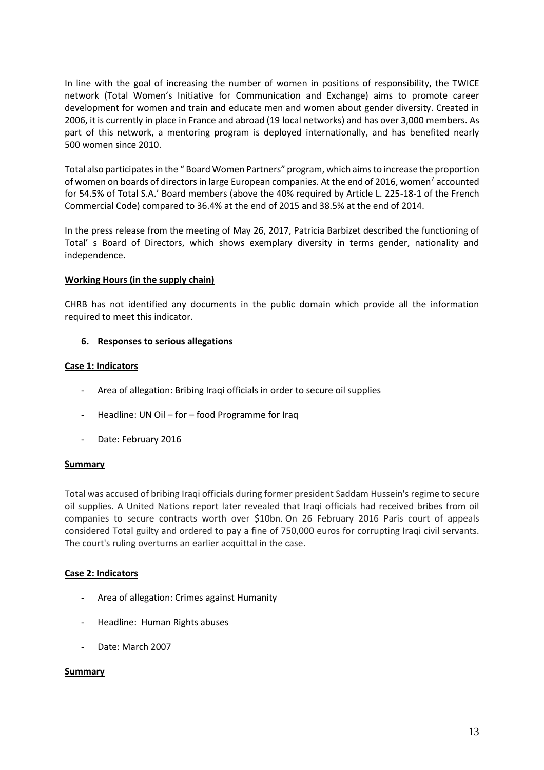In line with the goal of increasing the number of women in positions of responsibility, the TWICE network (Total Women's Initiative for Communication and Exchange) aims to promote career development for women and train and educate men and women about gender diversity. Created in 2006, it is currently in place in France and abroad (19 local networks) and has over 3,000 members. As part of this network, a mentoring program is deployed internationally, and has benefited nearly 500 women since 2010.

Total also participates in the " Board Women Partners" program, which aims to increase the proportion of wome[n](http://www.sustainable-performance.total.com/en/node/134#7) on boards of directors in large European companies. At the end of 2016, women<sup>2</sup> accounted for 54.5% of Total S.A.' Board members (above the 40% required by Article L. 225-18-1 of the French Commercial Code) compared to 36.4% at the end of 2015 and 38.5% at the end of 2014.

In the press release from the meeting of May 26, 2017, Patricia Barbizet described the functioning of Total' s Board of Directors, which shows exemplary diversity in terms gender, nationality and independence.

# **Working Hours (in the supply chain)**

CHRB has not identified any documents in the public domain which provide all the information required to meet this indicator.

### **6. Responses to serious allegations**

#### **Case 1: Indicators**

- Area of allegation: Bribing Iraqi officials in order to secure oil supplies
- Headline: UN Oil for food Programme for Iraq
- Date: February 2016

#### **Summary**

Total was accused of bribing Iraqi officials during former president Saddam Hussein's regime to secure oil supplies. A United Nations report later revealed that Iraqi officials had received bribes from oil companies to secure contracts worth over \$10bn. On 26 February 2016 Paris court of appeals considered Total guilty and ordered to pay a fine of 750,000 euros for corrupting Iraqi civil servants. The court's ruling overturns an earlier acquittal in the case.

#### **Case 2: Indicators**

- Area of allegation: Crimes against Humanity
- Headline: Human Rights abuses
- Date: March 2007

#### **Summary**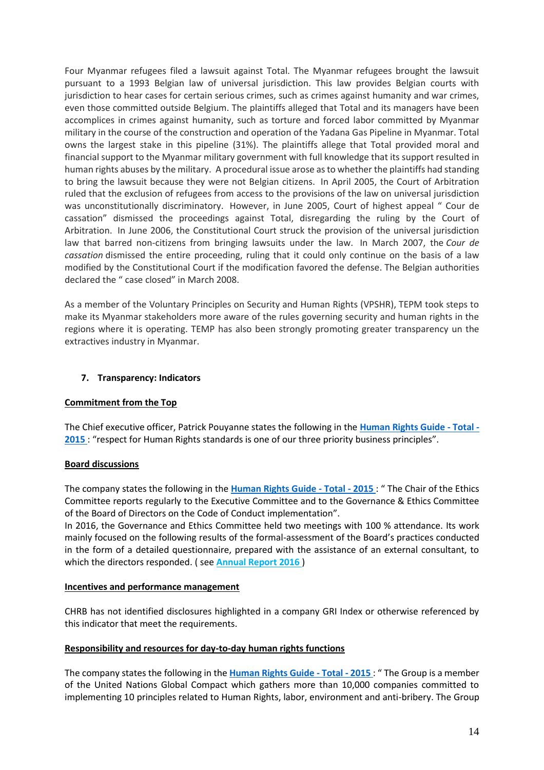Four Myanmar refugees filed a lawsuit against Total. The Myanmar refugees brought the lawsuit pursuant to a 1993 Belgian law of universal jurisdiction. This law provides Belgian courts with jurisdiction to hear cases for certain serious crimes, such as crimes against humanity and war crimes, even those committed outside Belgium. The plaintiffs alleged that Total and its managers have been accomplices in crimes against humanity, such as torture and forced labor committed by Myanmar military in the course of the construction and operation of the Yadana Gas Pipeline in Myanmar. Total owns the largest stake in this pipeline (31%). The plaintiffs allege that Total provided moral and financial support to the Myanmar military government with full knowledge that its support resulted in human rights abuses by the military. A procedural issue arose as to whether the plaintiffs had standing to bring the lawsuit because they were not Belgian citizens. In April 2005, the Court of Arbitration ruled that the exclusion of refugees from access to the provisions of the law on universal jurisdiction was unconstitutionally discriminatory. However, in June 2005, Court of highest appeal " Cour de cassation" dismissed the proceedings against Total, disregarding the ruling by the Court of Arbitration. In June 2006, the Constitutional Court struck the provision of the universal jurisdiction law that barred non-citizens from bringing lawsuits under the law. In March 2007, the *Cour de cassation* dismissed the entire proceeding, ruling that it could only continue on the basis of a law modified by the Constitutional Court if the modification favored the defense. The Belgian authorities declared the " case closed" in March 2008.

As a member of the Voluntary Principles on Security and Human Rights (VPSHR), TEPM took steps to make its Myanmar stakeholders more aware of the rules governing security and human rights in the regions where it is operating. TEMP has also been strongly promoting greater transparency un the extractives industry in Myanmar.

### **7. Transparency: Indicators**

#### **Commitment from the Top**

The Chief executive officer, Patrick Pouyanne states the following in the **[Human Rights Guide -](https://www.total.com/sites/default/files/atoms/files/human_rights_internal_guide_va.pdf) Total - [2015](https://www.total.com/sites/default/files/atoms/files/human_rights_internal_guide_va.pdf)** : "respect for Human Rights standards is one of our three priority business principles".

#### **Board discussions**

The company states the following in the **[Human Rights Guide -](https://www.total.com/sites/default/files/atoms/files/human_rights_internal_guide_va.pdf) Total - 2015** : " The Chair of the Ethics Committee reports regularly to the Executive Committee and to the Governance & Ethics Committee of the Board of Directors on the Code of Conduct implementation".

In 2016, the Governance and Ethics Committee held two meetings with 100 % attendance. Its work mainly focused on the following results of the formal-assessment of the Board's practices conducted in the form of a detailed questionnaire, prepared with the assistance of an external consultant, to which the directors responded. ( see **[Annual Report 2016](https://www.total.com/sites/default/files/atoms/files/2016_form_20-f_web_0.pdf)** )

#### **Incentives and performance management**

CHRB has not identified disclosures highlighted in a company GRI Index or otherwise referenced by this indicator that meet the requirements.

#### **Responsibility and resources for day-to-day human rights functions**

The company states the following in the **[Human Rights Guide -](https://www.total.com/sites/default/files/atoms/files/human_rights_internal_guide_va.pdf) Total - 2015** : " The Group is a member of the United Nations Global Compact which gathers more than 10,000 companies committed to implementing 10 principles related to Human Rights, labor, environment and anti-bribery. The Group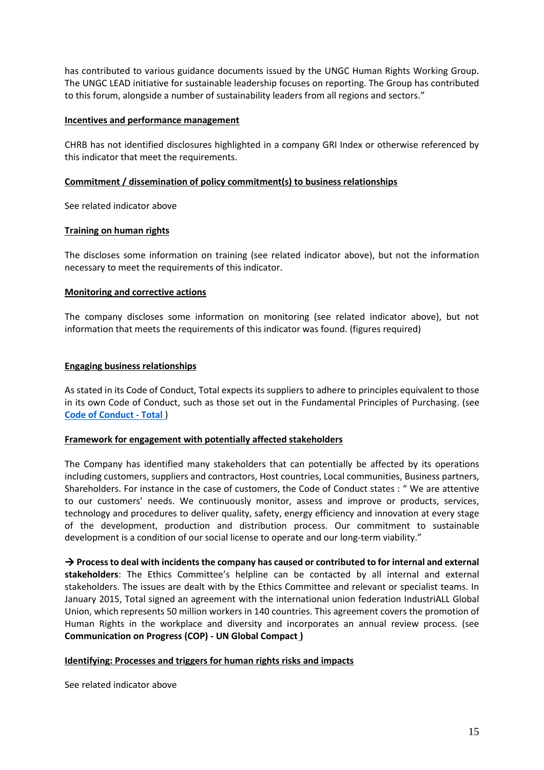has contributed to various guidance documents issued by the UNGC Human Rights Working Group. The UNGC LEAD initiative for sustainable leadership focuses on reporting. The Group has contributed to this forum, alongside a number of sustainability leaders from all regions and sectors."

### **Incentives and performance management**

CHRB has not identified disclosures highlighted in a company GRI Index or otherwise referenced by this indicator that meet the requirements.

### **Commitment / dissemination of policy commitment(s) to business relationships**

See related indicator above

### **Training on human rights**

The discloses some information on training (see related indicator above), but not the information necessary to meet the requirements of this indicator.

### **Monitoring and corrective actions**

The company discloses some information on monitoring (see related indicator above), but not information that meets the requirements of this indicator was found. (figures required)

### **Engaging business relationships**

As stated in its Code of Conduct, Total expects its suppliers to adhere to principles equivalent to those in its own Code of Conduct, such as those set out in the Fundamental Principles of Purchasing. (see **[Code of Conduct -](https://www.total.com/sites/default/files/atoms/files/total_code_of_conduct_va.pdf) Total** )

#### **Framework for engagement with potentially affected stakeholders**

The Company has identified many stakeholders that can potentially be affected by its operations including customers, suppliers and contractors, Host countries, Local communities, Business partners, Shareholders. For instance in the case of customers, the Code of Conduct states : " We are attentive to our customers' needs. We continuously monitor, assess and improve or products, services, technology and procedures to deliver quality, safety, energy efficiency and innovation at every stage of the development, production and distribution process. Our commitment to sustainable development is a condition of our social license to operate and our long-term viability."

→ **Process to deal with incidents the company has caused or contributed to for internal and external stakeholders**: The Ethics Committee's helpline can be contacted by all internal and external stakeholders. The issues are dealt with by the Ethics Committee and relevant or specialist teams. In January 2015, Total signed an agreement with the international union federation IndustriALL Global Union, which represents 50 million workers in 140 countries. This agreement covers the promotion of Human Rights in the workplace and diversity and incorporates an annual review process. (see **Communication on Progress (COP) - UN Global Compact )** 

# **Identifying: Processes and triggers for human rights risks and impacts**

See related indicator above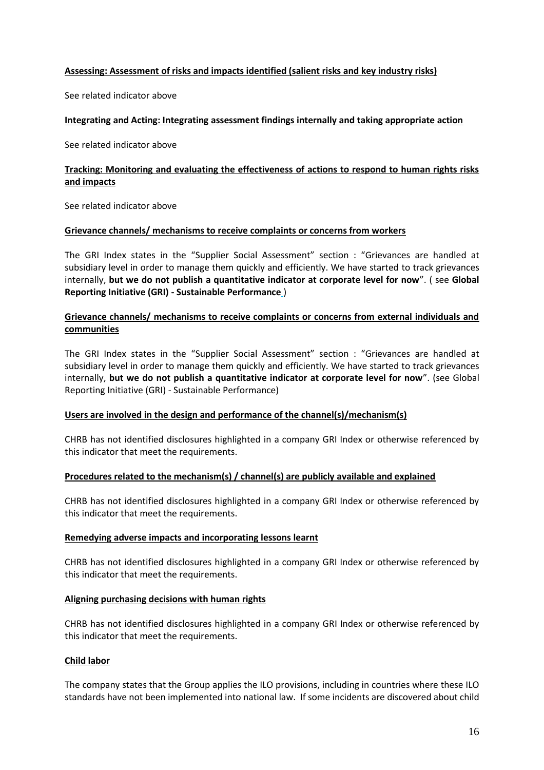### **Assessing: Assessment of risks and impacts identified (salient risks and key industry risks)**

See related indicator above

#### **Integrating and Acting: Integrating assessment findings internally and taking appropriate action**

See related indicator above

# **Tracking: Monitoring and evaluating the effectiveness of actions to respond to human rights risks and impacts**

See related indicator above

#### **Grievance channels/ mechanisms to receive complaints or concerns from workers**

The GRI Index states in the "Supplier Social Assessment" section : "Grievances are handled at subsidiary level in order to manage them quickly and efficiently. We have started to track grievances internally, **but we do not publish a quantitative indicator at corporate level for now**". ( see **Global Reporting Initiative (GRI) - Sustainable Performance** )

## **Grievance channels/ mechanisms to receive complaints or concerns from external individuals and communities**

The GRI Index states in the "Supplier Social Assessment" section : "Grievances are handled at subsidiary level in order to manage them quickly and efficiently. We have started to track grievances internally, **but we do not publish a quantitative indicator at corporate level for now**". (see Global Reporting Initiative (GRI) - Sustainable Performance)

### **Users are involved in the design and performance of the channel(s)/mechanism(s)**

CHRB has not identified disclosures highlighted in a company GRI Index or otherwise referenced by this indicator that meet the requirements.

#### **Procedures related to the mechanism(s) / channel(s) are publicly available and explained**

CHRB has not identified disclosures highlighted in a company GRI Index or otherwise referenced by this indicator that meet the requirements.

#### **Remedying adverse impacts and incorporating lessons learnt**

CHRB has not identified disclosures highlighted in a company GRI Index or otherwise referenced by this indicator that meet the requirements.

#### **Aligning purchasing decisions with human rights**

CHRB has not identified disclosures highlighted in a company GRI Index or otherwise referenced by this indicator that meet the requirements.

#### **Child labor**

The company states that the Group applies the ILO provisions, including in countries where these ILO standards have not been implemented into national law. If some incidents are discovered about child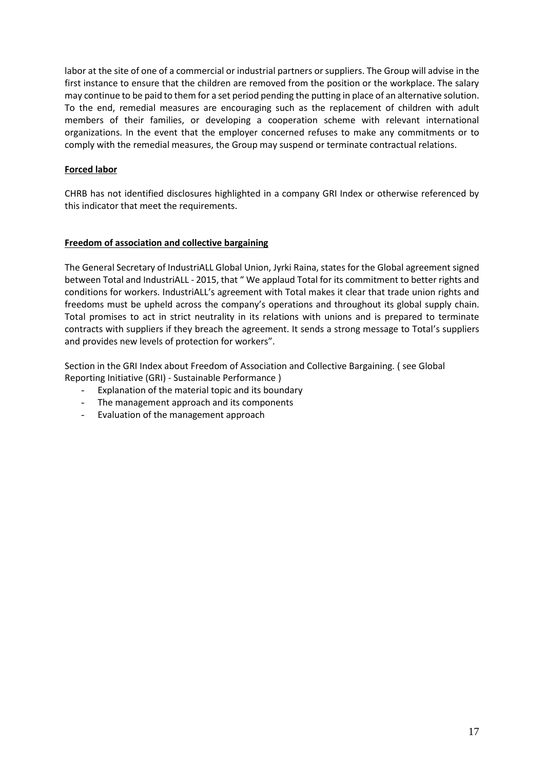labor at the site of one of a commercial or industrial partners or suppliers. The Group will advise in the first instance to ensure that the children are removed from the position or the workplace. The salary may continue to be paid to them for a set period pending the putting in place of an alternative solution. To the end, remedial measures are encouraging such as the replacement of children with adult members of their families, or developing a cooperation scheme with relevant international organizations. In the event that the employer concerned refuses to make any commitments or to comply with the remedial measures, the Group may suspend or terminate contractual relations.

# **Forced labor**

CHRB has not identified disclosures highlighted in a company GRI Index or otherwise referenced by this indicator that meet the requirements.

### **Freedom of association and collective bargaining**

The General Secretary of IndustriALL Global Union, Jyrki Raina, states for the Global agreement signed between Total and IndustriALL - 2015, that " We applaud Total for its commitment to better rights and conditions for workers. IndustriALL's agreement with Total makes it clear that trade union rights and freedoms must be upheld across the company's operations and throughout its global supply chain. Total promises to act in strict neutrality in its relations with unions and is prepared to terminate contracts with suppliers if they breach the agreement. It sends a strong message to Total's suppliers and provides new levels of protection for workers".

Section in the GRI Index about Freedom of Association and Collective Bargaining. ( see Global Reporting Initiative (GRI) - Sustainable Performance )

- Explanation of the material topic and its boundary
- The management approach and its components
- Evaluation of the management approach